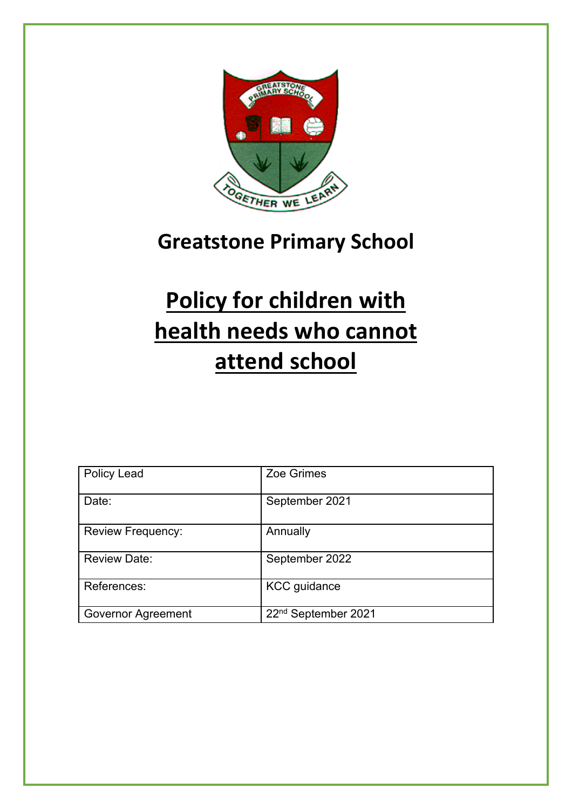

## **Greatstone Primary School**

## **Policy for children with health needs who cannot attend school**

| <b>Policy Lead</b>        | Zoe Grimes                      |
|---------------------------|---------------------------------|
| Date:                     | September 2021                  |
| <b>Review Frequency:</b>  | Annually                        |
| <b>Review Date:</b>       | September 2022                  |
| References:               | <b>KCC</b> guidance             |
| <b>Governor Agreement</b> | 22 <sup>nd</sup> September 2021 |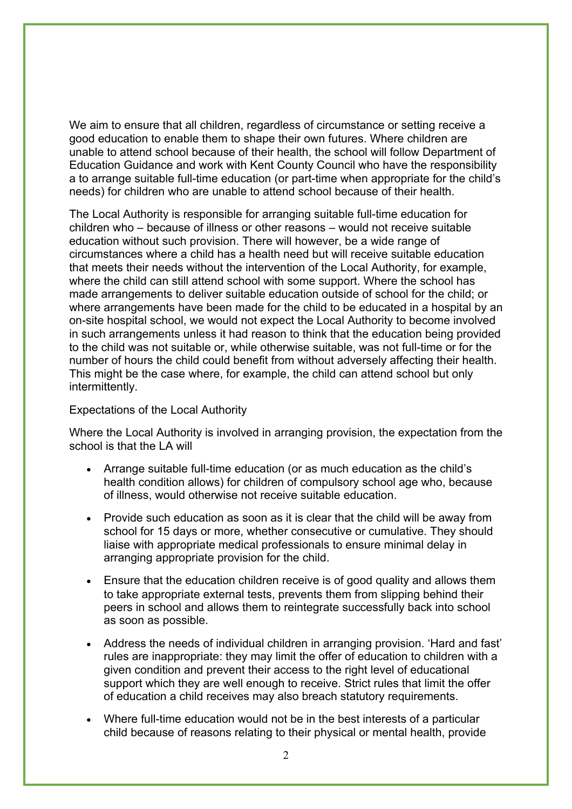We aim to ensure that all children, regardless of circumstance or setting receive a good education to enable them to shape their own futures. Where children are unable to attend school because of their health, the school will follow Department of Education Guidance and work with Kent County Council who have the responsibility a to arrange suitable full-time education (or part-time when appropriate for the child's needs) for children who are unable to attend school because of their health.

The Local Authority is responsible for arranging suitable full-time education for children who – because of illness or other reasons – would not receive suitable education without such provision. There will however, be a wide range of circumstances where a child has a health need but will receive suitable education that meets their needs without the intervention of the Local Authority, for example, where the child can still attend school with some support. Where the school has made arrangements to deliver suitable education outside of school for the child; or where arrangements have been made for the child to be educated in a hospital by an on-site hospital school, we would not expect the Local Authority to become involved in such arrangements unless it had reason to think that the education being provided to the child was not suitable or, while otherwise suitable, was not full-time or for the number of hours the child could benefit from without adversely affecting their health. This might be the case where, for example, the child can attend school but only intermittently.

## Expectations of the Local Authority

Where the Local Authority is involved in arranging provision, the expectation from the school is that the LA will

- Arrange suitable full-time education (or as much education as the child's health condition allows) for children of compulsory school age who, because of illness, would otherwise not receive suitable education.
- Provide such education as soon as it is clear that the child will be away from school for 15 days or more, whether consecutive or cumulative. They should liaise with appropriate medical professionals to ensure minimal delay in arranging appropriate provision for the child.
- Ensure that the education children receive is of good quality and allows them to take appropriate external tests, prevents them from slipping behind their peers in school and allows them to reintegrate successfully back into school as soon as possible.
- Address the needs of individual children in arranging provision. 'Hard and fast' rules are inappropriate: they may limit the offer of education to children with a given condition and prevent their access to the right level of educational support which they are well enough to receive. Strict rules that limit the offer of education a child receives may also breach statutory requirements.
- Where full-time education would not be in the best interests of a particular child because of reasons relating to their physical or mental health, provide